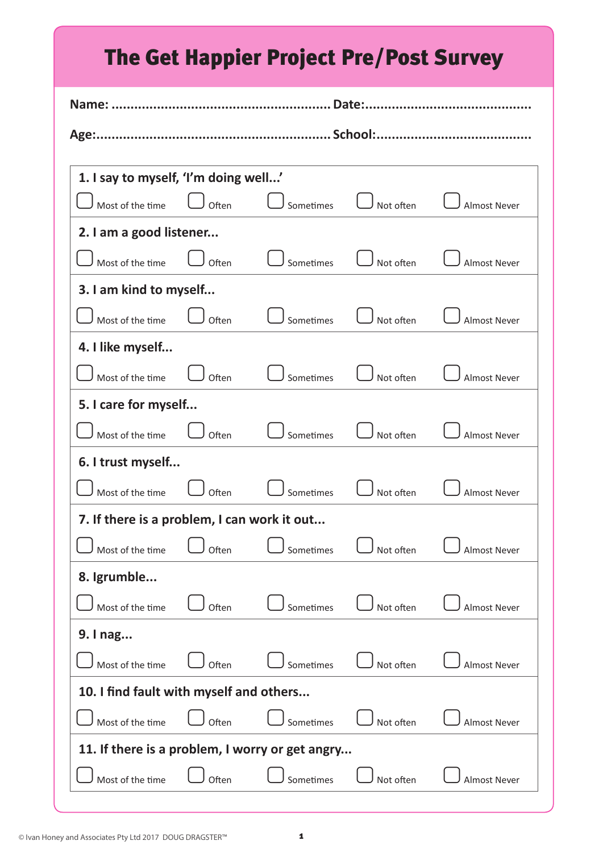| <b>The Get Happier Project Pre/Post Survey</b>  |       |           |           |                     |  |  |  |
|-------------------------------------------------|-------|-----------|-----------|---------------------|--|--|--|
|                                                 |       |           |           |                     |  |  |  |
|                                                 |       |           |           |                     |  |  |  |
| 1. I say to myself, 'I'm doing well'            |       |           |           |                     |  |  |  |
| Most of the time                                | Often | Sometimes | Not often | <b>Almost Never</b> |  |  |  |
| 2. I am a good listener                         |       |           |           |                     |  |  |  |
| Most of the time                                | Often | Sometimes | Not often | <b>Almost Never</b> |  |  |  |
| 3. I am kind to myself                          |       |           |           |                     |  |  |  |
| Most of the time                                | Often | Sometimes | Not often | <b>Almost Never</b> |  |  |  |
| 4. I like myself                                |       |           |           |                     |  |  |  |
| Most of the time                                | Often | Sometimes | Not often | <b>Almost Never</b> |  |  |  |
| 5. I care for myself                            |       |           |           |                     |  |  |  |
| Most of the time                                | Often | Sometimes | Not often | <b>Almost Never</b> |  |  |  |
| 6. I trust myself                               |       |           |           |                     |  |  |  |
| Most of the time                                | Often | Sometimes | Not often | <b>Almost Never</b> |  |  |  |
| 7. If there is a problem, I can work it out     |       |           |           |                     |  |  |  |
| Most of the time                                | Often | Sometimes | Not often | <b>Almost Never</b> |  |  |  |
| 8. Igrumble                                     |       |           |           |                     |  |  |  |
| Most of the time                                | Often | Sometimes | Not often | <b>Almost Never</b> |  |  |  |
| 9. I nag                                        |       |           |           |                     |  |  |  |
| Most of the time                                | Often | Sometimes | Not often | <b>Almost Never</b> |  |  |  |
| 10. I find fault with myself and others         |       |           |           |                     |  |  |  |
| Most of the time                                | Often | Sometimes | Not often | <b>Almost Never</b> |  |  |  |
| 11. If there is a problem, I worry or get angry |       |           |           |                     |  |  |  |
| Most of the time                                | Often | Sometimes | Not often | <b>Almost Never</b> |  |  |  |